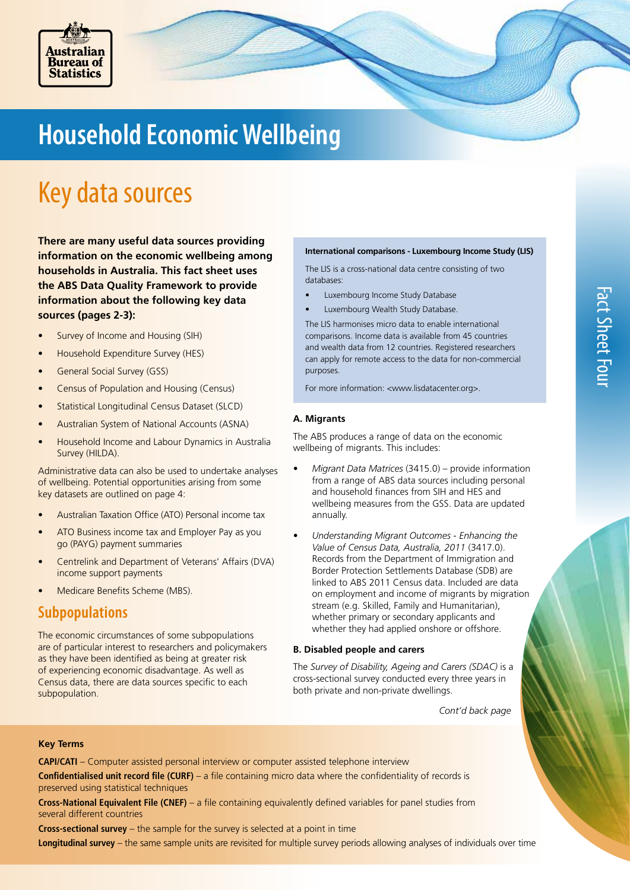

# **Household Economic Wellbeing**

# Key data sources

**There are many useful data sources providing information on the economic wellbeing among households in Australia. This fact sheet uses the ABS Data Quality Framework to provide information about the following key data sources (pages 2-3):** 

- Survey of Income and Housing (SIH)
- Household Expenditure Survey (HES)
- General Social Survey (GSS)
- Census of Population and Housing (Census)
- Statistical Longitudinal Census Dataset (SLCD)
- Australian System of National Accounts (ASNA)
- Household Income and Labour Dynamics in Australia Survey (HILDA).

Administrative data can also be used to undertake analyses of wellbeing. Potential opportunities arising from some key datasets are outlined on page 4:

- Australian Taxation Office (ATO) Personal income tax
- ATO Business income tax and Employer Pay as you go (PAYG) payment summaries
- Centrelink and Department of Veterans' Affairs (DVA) income support payments
- Medicare Benefits Scheme (MBS).

### **Subpopulations**

The economic circumstances of some subpopulations are of particular interest to researchers and policymakers as they have been identified as being at greater risk of experiencing economic disadvantage. As well as Census data, there are data sources specific to each subpopulation.

#### **International comparisons - Luxembourg Income Study (LIS)**

The LIS is a cross-national data centre consisting of two databases:

- Luxembourg Income Study Database
- Luxembourg Wealth Study Database.

The LIS harmonises micro data to enable international comparisons. Income data is available from 45 countries and wealth data from 12 countries. Registered researchers can apply for remote access to the data for non-commercial purposes.

For more information: <www.lisdatacenter.org>.

### **A. Migrants**

The ABS produces a range of data on the economic wellbeing of migrants. This includes:

- *• Migrant Data Matrices* (3415.0) provide information from a range of ABS data sources including personal and household finances from SIH and HES and wellbeing measures from the GSS. Data are updated annually.
- *• Understanding Migrant Outcomes Enhancing the Value of Census Data, Australia, 2011* (3417.0). Records from the Department of Immigration and Border Protection Settlements Database (SDB) are linked to ABS 2011 Census data. Included are data on employment and income of migrants by migration stream (e.g. Skilled, Family and Humanitarian), whether primary or secondary applicants and whether they had applied onshore or offshore.

#### **B. Disabled people and carers**

The *Survey of Disability, Ageing and Carers (SDAC)* is a cross-sectional survey conducted every three years in both private and non-private dwellings.

 *Cont'd back page* 

### **Key Terms**

**CAPI/CATI** – Computer assisted personal interview or computer assisted telephone interview

**Confidentialised unit record file (CURF)** – a file containing micro data where the confidentiality of records is preserved using statistical techniques

**Cross-National Equivalent File (CNEF)** – a file containing equivalently defined variables for panel studies from several different countries

**Cross-sectional survey** – the sample for the survey is selected at a point in time

**Longitudinal survey** – the same sample units are revisited for multiple survey periods allowing analyses of individuals over time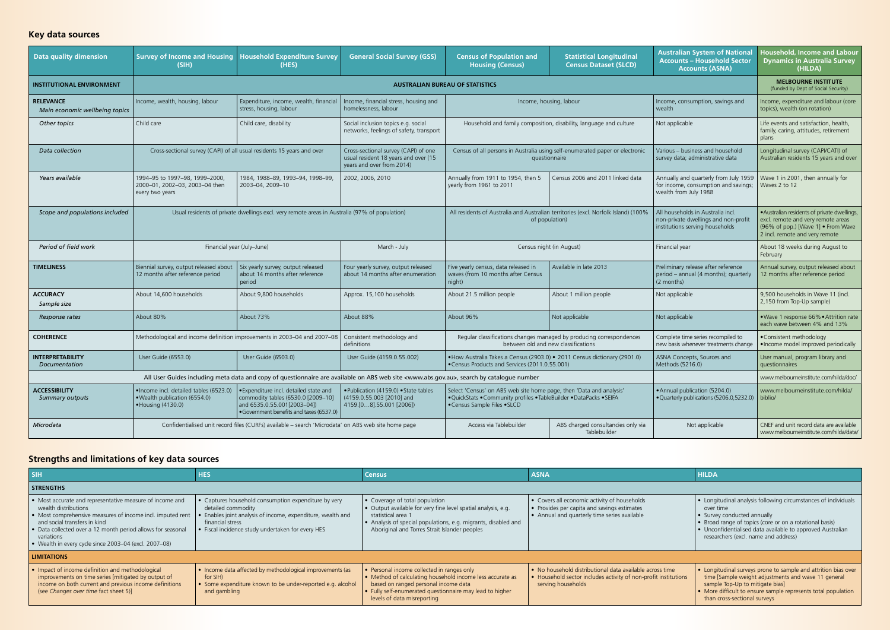| Data quality dimension                             | <b>Survey of Income and Housing</b><br>(SIH)                                                                                                                                                                                         | <b>Household Expenditure Survey</b><br>(HES)                                                                                                            | <b>General Social Survey (GSS)</b>                                                                                                                        | <b>Census of Population and</b><br><b>Housing (Census)</b>                                                                                                                 | <b>Statistical Longitudinal</b><br><b>Census Dataset (SLCD)</b>    | <b>Australian System of National</b><br><b>Accounts - Household Sector</b><br><b>Accounts (ASNA)</b>         | Household, Income and Labour<br><b>Dynamics in Australia Survey</b><br>(HILDA)                                                                             |
|----------------------------------------------------|--------------------------------------------------------------------------------------------------------------------------------------------------------------------------------------------------------------------------------------|---------------------------------------------------------------------------------------------------------------------------------------------------------|-----------------------------------------------------------------------------------------------------------------------------------------------------------|----------------------------------------------------------------------------------------------------------------------------------------------------------------------------|--------------------------------------------------------------------|--------------------------------------------------------------------------------------------------------------|------------------------------------------------------------------------------------------------------------------------------------------------------------|
| <b>INSTITUTIONAL ENVIRONMENT</b>                   |                                                                                                                                                                                                                                      |                                                                                                                                                         |                                                                                                                                                           | <b>AUSTRALIAN BUREAU OF STATISTICS</b>                                                                                                                                     | <b>MELBOURNE INSTITUTE</b><br>(funded by Dept of Social Security)  |                                                                                                              |                                                                                                                                                            |
| <b>RELEVANCE</b><br>Main economic wellbeing topics | Income, wealth, housing, labour                                                                                                                                                                                                      | Expenditure, income, wealth, financial<br>stress, housing, labour                                                                                       | Income, financial stress, housing and<br>homelessness, labour                                                                                             | Income, housing, labour                                                                                                                                                    |                                                                    | Income, consumption, savings and<br>wealth                                                                   | Income, expenditure and labour (core<br>topics), wealth (on rotation)                                                                                      |
| Other topics                                       | Child care                                                                                                                                                                                                                           | Child care, disability                                                                                                                                  | Social inclusion topics e.g. social<br>networks, feelings of safety, transport                                                                            |                                                                                                                                                                            | Household and family composition, disability, language and culture | Not applicable                                                                                               | Life events and satisfaction, health,<br>family, caring, attitudes, retirement<br>plans                                                                    |
| <b>Data collection</b>                             | Cross-sectional survey (CAPI) of all usual residents 15 years and over                                                                                                                                                               |                                                                                                                                                         | Cross-sectional survey (CAPI) of one<br>usual resident 18 years and over (15<br>years and over from 2014)                                                 | Census of all persons in Australia using self-enumerated paper or electronic<br>questionnaire                                                                              |                                                                    | Various - business and household<br>survey data; administrative data                                         | Longitudinal survey (CAPI/CATI) of<br>Australian residents 15 years and over                                                                               |
| Years available                                    | 1994-95 to 1997-98, 1999-2000,<br>2000-01, 2002-03, 2003-04 then<br>every two years                                                                                                                                                  | 1984, 1988-89, 1993-94, 1998-99,<br>2003-04, 2009-10                                                                                                    | 2002, 2006, 2010                                                                                                                                          | Annually from 1911 to 1954, then 5<br>yearly from 1961 to 2011                                                                                                             | Census 2006 and 2011 linked data                                   | Annually and quarterly from July 1959<br>for income, consumption and savings;<br>wealth from July 1988       | Wave 1 in 2001, then annually for<br>Waves 2 to 12                                                                                                         |
| Scope and populations included                     | Usual residents of private dwellings excl. very remote areas in Australia (97% of population)                                                                                                                                        |                                                                                                                                                         |                                                                                                                                                           | All residents of Australia and Australian territories (excl. Norfolk Island) (100%<br>of population)                                                                       |                                                                    | All households in Australia incl.<br>non-private dwellings and non-profit<br>institutions serving households | · Australian residents of private dwellings,<br>excl. remote and very remote areas<br>(96% of pop.) [Wave 1] • From Wave<br>2 incl. remote and very remote |
| Period of field work                               |                                                                                                                                                                                                                                      | Financial year (July-June)                                                                                                                              | March - July                                                                                                                                              | Census night (in August)                                                                                                                                                   |                                                                    | Financial year                                                                                               | About 18 weeks during August to<br>February                                                                                                                |
| <b>TIMELINESS</b>                                  | Biennial survey, output released about<br>12 months after reference period                                                                                                                                                           | Six yearly survey, output released<br>about 14 months after reference<br>period                                                                         | Four yearly survey, output released<br>about 14 months after enumeration                                                                                  | Five yearly census, data released in<br>waves (from 10 months after Census<br>night)                                                                                       | Available in late 2013                                             | Preliminary release after reference<br>period - annual (4 months); quarterly<br>(2 months)                   | Annual survey, output released about<br>12 months after reference period                                                                                   |
| <b>ACCURACY</b><br>Sample size                     | About 14,600 households                                                                                                                                                                                                              | About 9,800 households                                                                                                                                  | Approx. 15,100 households                                                                                                                                 | About 21.5 million people                                                                                                                                                  | About 1 million people                                             | Not applicable                                                                                               | 9,500 households in Wave 11 (incl.<br>2,150 from Top-Up sample)                                                                                            |
| Response rates                                     | About 80%                                                                                                                                                                                                                            | About 73%                                                                                                                                               | About 88%                                                                                                                                                 | About 96%                                                                                                                                                                  | Not applicable                                                     | Not applicable                                                                                               | .Wave 1 response 66% . Attrition rate<br>each wave between 4% and 13%                                                                                      |
| <b>COHERENCE</b>                                   | Methodological and income definition improvements in 2003-04 and 2007-08<br>Consistent methodology and<br>Regular classifications changes managed by producing correspondences<br>between old and new classifications<br>definitions |                                                                                                                                                         | Complete time series recompiled to<br>new basis whenever treatments change                                                                                | • Consistent methodology<br>• Income model improved periodically                                                                                                           |                                                                    |                                                                                                              |                                                                                                                                                            |
| <b>INTERPRETABILITY</b><br>Documentation           | User Guide (6553.0)                                                                                                                                                                                                                  | User Guide (6503.0)                                                                                                                                     | User Guide (4159.0.55.002)                                                                                                                                | • How Australia Takes a Census (2903.0) • 2011 Census dictionary (2901.0)<br>•Census Products and Services (2011.0.55.001)                                                 |                                                                    | ASNA Concepts, Sources and<br>Methods (5216.0)                                                               | User manual, program library and<br>auestionnaires                                                                                                         |
|                                                    |                                                                                                                                                                                                                                      |                                                                                                                                                         | All User Guides including meta data and copy of questionnaire are available on ABS web site <www.abs.gov.au>, search by catalogue number</www.abs.gov.au> |                                                                                                                                                                            |                                                                    |                                                                                                              | www.melbourneinstitute.com/hilda/doc/                                                                                                                      |
| <b>ACCESSIBILITY</b><br>Summary outputs            | · Income incl. detailed tables (6523.0)<br>. Wealth publication (6554.0)<br>• Housing (4130.0)                                                                                                                                       | . Expenditure incl. detailed state and<br>commodity tables (6530.0 [2009-10]<br>and 6535.0.55.001[2003-04])<br>• Government benefits and taxes (6537.0) | .Publication (4159.0) • State tables<br>(4159.0.55.003 [2010] and<br>4159.[08].55.001 [2006])                                                             | Select 'Census' on ABS web site home page, then 'Data and analysis'<br>. QuickStats . Community profiles . TableBuilder . DataPacks . SEIFA<br>•Census Sample Files • SLCD |                                                                    | • Annual publication (5204.0)<br>• Quarterly publications (5206.0,5232.0)                                    | www.melbourneinstitute.com/hilda/<br>biblio/                                                                                                               |
| Microdata                                          |                                                                                                                                                                                                                                      | Confidentialised unit record files (CURFs) available – search 'Microdata' on ABS web site home page                                                     |                                                                                                                                                           | Access via Tablebuilder                                                                                                                                                    | ABS charged consultancies only via<br>Tablebuilder                 | Not applicable                                                                                               | CNEF and unit record data are available<br>www.melbourneinstitute.com/hilda/data/                                                                          |

| l sıн                                                                                                                                                                                                                                                                                                                | <b>HES</b>                                                                                                                                                                                                         | <b>Census</b>                                                                                                                                                                                                                                                                | <b>ASNA</b>                                                                                                                                       | <b>HILDA</b>                                                                                                                                                                                                                                                                |  |  |  |  |  |  |
|----------------------------------------------------------------------------------------------------------------------------------------------------------------------------------------------------------------------------------------------------------------------------------------------------------------------|--------------------------------------------------------------------------------------------------------------------------------------------------------------------------------------------------------------------|------------------------------------------------------------------------------------------------------------------------------------------------------------------------------------------------------------------------------------------------------------------------------|---------------------------------------------------------------------------------------------------------------------------------------------------|-----------------------------------------------------------------------------------------------------------------------------------------------------------------------------------------------------------------------------------------------------------------------------|--|--|--|--|--|--|
| <b>STRENGTHS</b>                                                                                                                                                                                                                                                                                                     |                                                                                                                                                                                                                    |                                                                                                                                                                                                                                                                              |                                                                                                                                                   |                                                                                                                                                                                                                                                                             |  |  |  |  |  |  |
| • Most accurate and representative measure of income and<br>wealth distributions<br>• Most comprehensive measures of income incl. imputed rent<br>and social transfers in kind<br>• Data collected over a 12 month period allows for seasonal<br>variations<br>• Wealth in every cycle since 2003-04 (excl. 2007-08) | • Captures household consumption expenditure by very<br>detailed commodity<br>• Enables joint analysis of income, expenditure, wealth and<br>financial stress<br>• Fiscal incidence study undertaken for every HES | $\bullet$ Coverage of total population<br>$\bullet$ Output available for very fine level spatial analysis, e.g.<br>statistical area 1<br>$\blacktriangleright$ Analysis of special populations, e.g. migrants, disabled and<br>Aboriginal and Torres Strait Islander peoples | • Covers all economic activity of households<br>• Provides per capita and savings estimates<br>• Annual and quarterly time series available       | • Longitudinal analysis following circumstances of individuals<br>over time<br>• Survey conducted annually<br>• Broad range of topics (core or on a rotational basis)<br>• Unconfidentialised data available to approved Australian<br>researchers (excl. name and address) |  |  |  |  |  |  |
| <b>LIMITATIONS</b>                                                                                                                                                                                                                                                                                                   |                                                                                                                                                                                                                    |                                                                                                                                                                                                                                                                              |                                                                                                                                                   |                                                                                                                                                                                                                                                                             |  |  |  |  |  |  |
| . Impact of income definition and methodological<br>improvements on time series [mitigated by output of<br>income on both current and previous income definitions<br>(see Changes over time fact sheet 5)]                                                                                                           | • Income data affected by methodological improvements (as<br>for SIH)<br>• Some expenditure known to be under-reported e.g. alcohol<br>and gambling                                                                | · Personal income collected in ranges only<br>$\bullet$ Method of calculating household income less accurate as<br>based on ranged personal income data<br>• Fully self-enumerated questionnaire may lead to higher<br>levels of data misreporting                           | • No household distributional data available across time<br>• Household sector includes activity of non-profit institutions<br>serving households | • Longitudinal surveys prone to sample and attrition bias over<br>time [Sample weight adjustments and wave 11 general<br>sample Top-Up to mitigate bias]<br>• More difficult to ensure sample represents total population<br>than cross-sectional surveys                   |  |  |  |  |  |  |

## **Strengths and limitations of key data sources**

## **Key data sources**